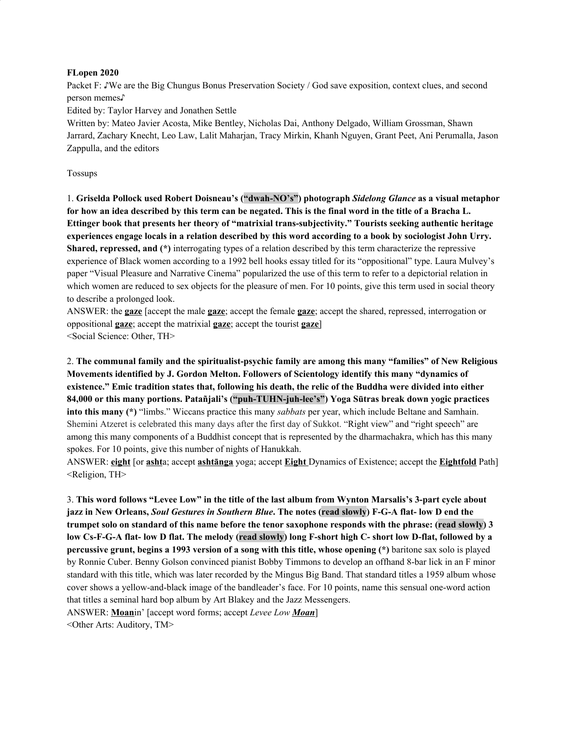#### **FLopen 2020**

Packet F: ♪We are the Big Chungus Bonus Preservation Society / God save exposition, context clues, and second person memes♪

Edited by: Taylor Harvey and Jonathen Settle

Written by: Mateo Javier Acosta, Mike Bentley, Nicholas Dai, Anthony Delgado, William Grossman, Shawn Jarrard, Zachary Knecht, Leo Law, Lalit Maharjan, Tracy Mirkin, Khanh Nguyen, Grant Peet, Ani Perumalla, Jason Zappulla, and the editors

#### Tossups

1. **Griselda Pollock used Robert Doisneau's ("dwah-NO's") photograph** *Sidelong Glance* **as a visual metaphor** for how an idea described by this term can be negated. This is the final word in the title of a Bracha L. **Ettinger book that presents her theory of "matrixial trans-subjectivity." Tourists seeking authentic heritage** experiences engage locals in a relation described by this word according to a book by sociologist John Urry. **Shared, repressed, and (\*)** interrogating types of a relation described by this term characterize the repressive experience of Black women according to a 1992 bell hooks essay titled for its "oppositional" type. Laura Mulvey's paper "Visual Pleasure and Narrative Cinema" popularized the use of this term to refer to a depictorial relation in which women are reduced to sex objects for the pleasure of men. For 10 points, give this term used in social theory to describe a prolonged look.

ANSWER: the **gaze** [accept the male **gaze**; accept the female **gaze**; accept the shared, repressed, interrogation or oppositional **gaze**; accept the matrixial **gaze**; accept the tourist **gaze**] <Social Science: Other, TH>

2. **The communal family and the spiritualist-psychic family are among this many "families" of New Religious Movements identified by J. Gordon Melton. Followers of Scientology identify this many "dynamics of** existence." Emic tradition states that, following his death, the relic of the Buddha were divided into either **84,000 or this many portions. Patañjali's ("puh-TUHN-juh-lee's") Yoga Sūtras break down yogic practices into this many (\*)** "limbs." Wiccans practice this many *sabbats* per year, which include Beltane and Samhain. Shemini Atzeret is celebrated this many days after the first day of Sukkot. "Right view" and "right speech" are among this many components of a Buddhist concept that is represented by the dharmachakra, which has this many spokes. For 10 points, give this number of nights of Hanukkah.

ANSWER: **eight** [or **asht**a; accept **ashtānga** yoga; accept **Eight** Dynamics of Existence; accept the **Eightfold** Path] <Religion, TH>

3. This word follows "Levee Low" in the title of the last album from Wynton Marsalis's 3-part cycle about jazz in New Orleans, Soul Gestures in Southern Blue. The notes (read slowly) F-G-A flat-low D end the trumpet solo on standard of this name before the tenor saxophone responds with the phrase: (read slowly) 3 low Cs-F-G-A flat- low D flat. The melody (read slowly) long F-short high C- short low D-flat, followed by a **percussive grunt, begins a 1993 version of a song with this title, whose opening (\*)** baritone sax solo is played by Ronnie Cuber. Benny Golson convinced pianist Bobby Timmons to develop an offhand 8-bar lick in an F minor standard with this title, which was later recorded by the Mingus Big Band. That standard titles a 1959 album whose cover shows a yellow-and-black image of the bandleader's face. For 10 points, name this sensual one-word action that titles a seminal hard bop album by Art Blakey and the Jazz Messengers. ANSWER: **Moan**in' [accept word forms; accept *Levee Low Moan*]

<Other Arts: Auditory, TM>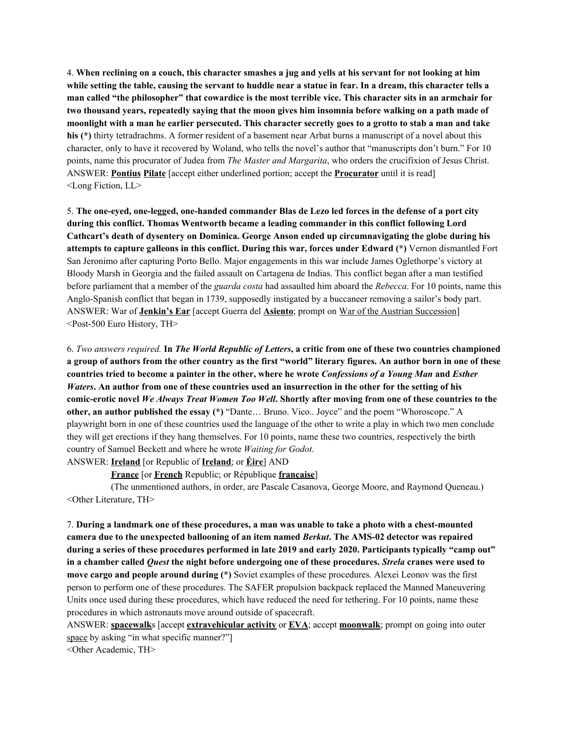4. When reclining on a couch, this character smashes a jug and yells at his servant for not looking at him while setting the table, causing the servant to huddle near a statue in fear. In a dream, this character tells a man called "the philosopher" that cowardice is the most terrible vice. This character sits in an armchair for two thousand years, repeatedly saying that the moon gives him insomnia before walking on a path made of moonlight with a man he earlier persecuted. This character secretly goes to a grotto to stab a man and take **his (\*)** thirty tetradrachms. A former resident of a basement near Arbat burns a manuscript of a novel about this character, only to have it recovered by Woland, who tells the novel's author that "manuscripts don't burn." For 10 points, name this procurator of Judea from *The Master and Margarita*, who orders the crucifixion of Jesus Christ. ANSWER: **Pontius Pilate** [accept either underlined portion; accept the **Procurator** until it is read] <Long Fiction, LL>

5. **The one-eyed, one-legged, one-handed commander Blas de Lezo led forces in the defense of a port city during this conflict. Thomas Wentworth became a leading commander in this conflict following Lord Cathcart's death of dysentery on Dominica. George Anson ended up circumnavigating the globe during his attempts to capture galleons in this conflict. During this war, forces under Edward (\*)** Vernon dismantled Fort San Jeronimo after capturing Porto Bello. Major engagements in this war include James Oglethorpe's victory at Bloody Marsh in Georgia and the failed assault on Cartagena de Indias. This conflict began after a man testified before parliament that a member of the *guarda costa* had assaulted him aboard the *Rebecca*. For 10 points, name this Anglo-Spanish conflict that began in 1739, supposedly instigated by a buccaneer removing a sailor's body part. ANSWER: War of **Jenkin's Ear** [accept Guerra del **Asiento**; prompt on War of the Austrian Succession] <Post-500 Euro History, TH>

6. Two answers required. In The World Republic of Letters, a critic from one of these two countries championed a group of authors from the other country as the first "world" literary figures. An author born in one of these countries tried to become a painter in the other, where he wrote Confessions of a Young Man and Esther *Waters.* An author from one of these countries used an insurrection in the other for the setting of his comic-erotic novel We Always Treat Women Too Well. Shortly after moving from one of these countries to the **other, an author published the essay (\*)** "Dante… Bruno. Vico.. Joyce" and the poem "Whoroscope." A playwright born in one of these countries used the language of the other to write a play in which two men conclude they will get erections if they hang themselves. For 10 points, name these two countries, respectively the birth country of Samuel Beckett and where he wrote *Waiting for Godot*. ANSWER: **Ireland** [or Republic of **Ireland**; or **Éire**] AND

**France** [or **French** Republic; or République **française**]

(The unmentioned authors, in order, are Pascale Casanova, George Moore, and Raymond Queneau.) <Other Literature, TH>

7. During a landmark one of these procedures, a man was unable to take a photo with a chest-mounted **camera due to the unexpected ballooning of an item named** *Berkut***. The AMS-02 detector was repaired** during a series of these procedures performed in late 2019 and early 2020. Participants typically "camp out" in a chamber called *Quest* the night before undergoing one of these procedures. Strela cranes were used to **move cargo and people around during (\*)** Soviet examples of these procedures. Alexei Leonov was the first person to perform one of these procedures. The SAFER propulsion backpack replaced the Manned Maneuvering Units once used during these procedures, which have reduced the need for tethering. For 10 points, name these procedures in which astronauts move around outside of spacecraft.

ANSWER: **spacewalk**s [accept **extravehicular activity** or **EVA**; accept **moonwalk**; prompt on going into outer space by asking "in what specific manner?"

<Other Academic, TH>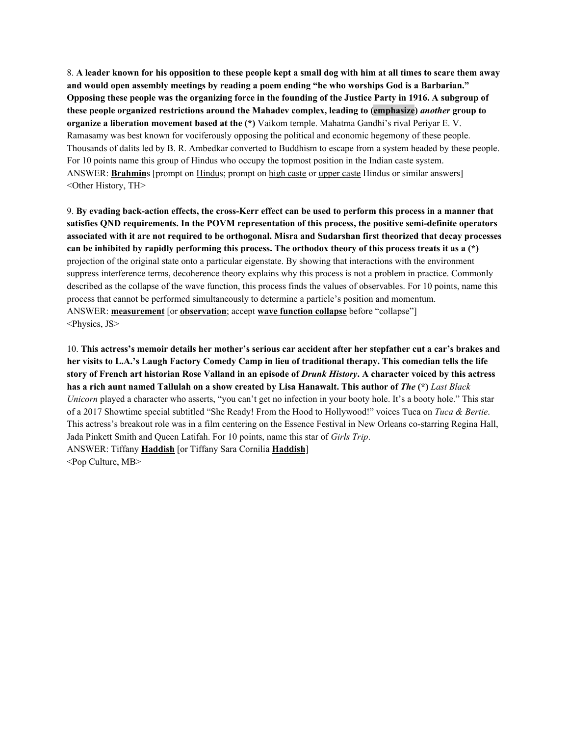8. A leader known for his opposition to these people kept a small dog with him at all times to scare them away **and would open assembly meetings by reading a poem ending "he who worships God is a Barbarian."** Opposing these people was the organizing force in the founding of the Justice Party in 1916. A subgroup of **these people organized restrictions around the Mahadev complex, leading to (emphasize)** *another* **group to organize a liberation movement based at the (\*)** Vaikom temple. Mahatma Gandhi's rival Periyar E. V. Ramasamy was best known for vociferously opposing the political and economic hegemony of these people. Thousands of dalits led by B. R. Ambedkar converted to Buddhism to escape from a system headed by these people. For 10 points name this group of Hindus who occupy the topmost position in the Indian caste system. ANSWER: **Brahmin**s [prompt on Hindus; prompt on high caste or upper caste Hindus or similar answers] <Other History, TH>

9. By evading back-action effects, the cross-Kerr effect can be used to perform this process in a manner that **satisfies QND requirements. In the POVM representation of this process, the positive semi-definite operators** associated with it are not required to be orthogonal. Misra and Sudarshan first theorized that decay processes can be inhibited by rapidly performing this process. The orthodox theory of this process treats it as a  $(*)$ projection of the original state onto a particular eigenstate. By showing that interactions with the environment suppress interference terms, decoherence theory explains why this process is not a problem in practice. Commonly described as the collapse of the wave function, this process finds the values of observables. For 10 points, name this process that cannot be performed simultaneously to determine a particle's position and momentum. ANSWER: **measurement** [or **observation**; accept **wave function collapse** before "collapse"] <Physics, JS>

10. This actress's memoir details her mother's serious car accident after her stepfather cut a car's brakes and her visits to L.A.'s Laugh Factory Comedy Camp in lieu of traditional therapy. This comedian tells the life story of French art historian Rose Valland in an episode of Drunk History. A character voiced by this actress has a rich aunt named Tallulah on a show created by Lisa Hanawalt. This author of The (\*) Last Black *Unicorn* played a character who asserts, "you can't get no infection in your booty hole. It's a booty hole." This star of a 2017 Showtime special subtitled "She Ready! From the Hood to Hollywood!" voices Tuca on *Tuca & Bertie*. This actress's breakout role was in a film centering on the Essence Festival in New Orleans co-starring Regina Hall, Jada Pinkett Smith and Queen Latifah. For 10 points, name this star of *Girls Trip*. ANSWER: Tiffany **Haddish** [or Tiffany Sara Cornilia **Haddish**] <Pop Culture, MB>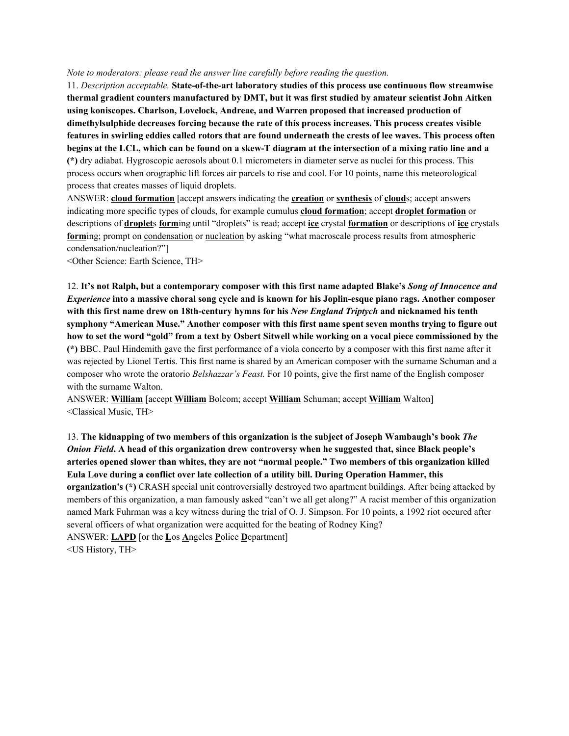#### *Note to moderators: please read the answer line carefully before reading the question.*

11. *Description acceptable.* **State-of-the-art laboratory studies of this process use continuous flow streamwise thermal gradient counters manufactured by DMT, but it was first studied by amateur scientist John Aitken using koniscopes. Charlson, Lovelock, Andreae, and Warren proposed that increased production of dimethylsulphide decreases forcing because the rate of this process increases. This process creates visible** features in swirling eddies called rotors that are found underneath the crests of lee waves. This process often begins at the LCL, which can be found on a skew-T diagram at the intersection of a mixing ratio line and a **(\*)** dry adiabat. Hygroscopic aerosols about 0.1 micrometers in diameter serve as nuclei for this process. This process occurs when orographic lift forces air parcels to rise and cool. For 10 points, name this meteorological process that creates masses of liquid droplets.

ANSWER: **cloud formation** [accept answers indicating the **creation** or **synthesis** of **cloud**s; accept answers indicating more specific types of clouds, for example cumulus **cloud formation**; accept **droplet formation** or descriptions of **droplet**s **form**ing until "droplets" is read; accept **ice** crystal **formation** or descriptions of **ice** crystals **form**ing; prompt on condensation or nucleation by asking "what macroscale process results from atmospheric condensation/nucleation?"]

<Other Science: Earth Science, TH>

12. It's not Ralph, but a contemporary composer with this first name adapted Blake's Song of Innocence and *Experience* into a massive choral song cycle and is known for his Joplin-esque piano rags. Another composer **with this first name drew on 18th-century hymns for his** *New England Triptych* **and nicknamed his tenth symphony "American Muse." Another composer with this first name spent seven months trying to figure out** how to set the word "gold" from a text by Osbert Sitwell while working on a vocal piece commissioned by the **(\*)** BBC. Paul Hindemith gave the first performance of a viola concerto by a composer with this first name after it was rejected by Lionel Tertis. This first name is shared by an American composer with the surname Schuman and a composer who wrote the oratorio *Belshazzar's Feast.* For 10 points, give the first name of the English composer with the surname Walton.

ANSWER: **William** [accept **William** Bolcom; accept **William** Schuman; accept **William** Walton] <Classical Music, TH>

13. **The kidnapping of two members of this organization is the subject of Joseph Wambaugh's book** *The Onion Field***. A head of this organization drew controversy when he suggested that, since Black people's arteries opened slower than whites, they are not "normal people." Two members of this organization killed Eula Love during a conflict over late collection of a utility bill. During Operation Hammer, this organization's (\*)** CRASH special unit controversially destroyed two apartment buildings. After being attacked by members of this organization, a man famously asked "can't we all get along?" A racist member of this organization named Mark Fuhrman was a key witness during the trial of O. J. Simpson. For 10 points, a 1992 riot occured after several officers of what organization were acquitted for the beating of Rodney King? ANSWER: **LAPD** [or the **L**os **A**ngeles **P**olice **D**epartment] <US History, TH>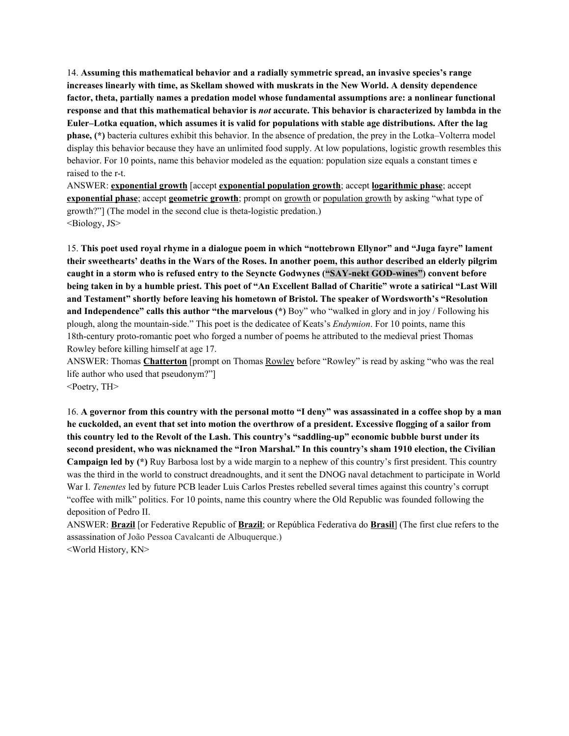14. **Assuming this mathematical behavior and a radially symmetric spread, an invasive species's range increases linearly with time, as Skellam showed with muskrats in the New World. A density dependence factor, theta, partially names a predation model whose fundamental assumptions are: a nonlinear functional** response and that this mathematical behavior is *not* accurate. This behavior is characterized by lambda in the **Euler–Lotka equation, which assumes it is valid for populations with stable age distributions. After the lag phase, (\*)** bacteria cultures exhibit this behavior. In the absence of predation, the prey in the Lotka–Volterra model display this behavior because they have an unlimited food supply. At low populations, logistic growth resembles this behavior. For 10 points, name this behavior modeled as the equation: population size equals a constant times e raised to the r-t.

ANSWER: **exponential growth** [accept **exponential population growth**; accept **logarithmic phase**; accept **exponential phase**; accept **geometric growth**; prompt on growth or population growth by asking "what type of growth?"] (The model in the second clue is theta-logistic predation.) <Biology, JS>

15. **This poet used royal rhyme in a dialogue poem in which "nottebrown Ellynor" and "Juga fayre" lament** their sweethearts' deaths in the Wars of the Roses. In another poem, this author described an elderly pilgrim **caught in a storm who is refused entry to the Seyncte Godwynes ("SAY-nekt GOD-wines") convent before** being taken in by a humble priest. This poet of "An Excellent Ballad of Charitie" wrote a satirical "Last Will **and Testament" shortly before leaving his hometown of Bristol. The speaker of Wordsworth's "Resolution and Independence" calls this author "the marvelous (\*)** Boy" who "walked in glory and in joy / Following his plough, along the mountain-side." This poet is the dedicatee of Keats's *Endymion*. For 10 points, name this 18th-century proto-romantic poet who forged a number of poems he attributed to the medieval priest Thomas Rowley before killing himself at age 17.

ANSWER: Thomas **Chatterton** [prompt on Thomas Rowley before "Rowley" is read by asking "who was the real life author who used that pseudonym?"]

<Poetry, TH>

16. A governor from this country with the personal motto "I deny" was assassinated in a coffee shop by a man he cuckolded, an event that set into motion the overthrow of a president. Excessive flogging of a sailor from **this country led to the Revolt of the Lash. This country's "saddling-up" economic bubble burst under its second president, who was nicknamed the "Iron Marshal." In this country's sham 1910 election, the Civilian Campaign led by (\*)** Ruy Barbosa lost by a wide margin to a nephew of this country's first president. This country was the third in the world to construct dreadnoughts, and it sent the DNOG naval detachment to participate in World War I. *Tenentes* led by future PCB leader Luis Carlos Prestes rebelled several times against this country's corrupt "coffee with milk" politics. For 10 points, name this country where the Old Republic was founded following the deposition of Pedro II.

ANSWER: **Brazil** [or Federative Republic of **Brazil**; or República Federativa do **Brasil**] (The first clue refers to the assassination of João Pessoa Cavalcanti de Albuquerque.) <World History, KN>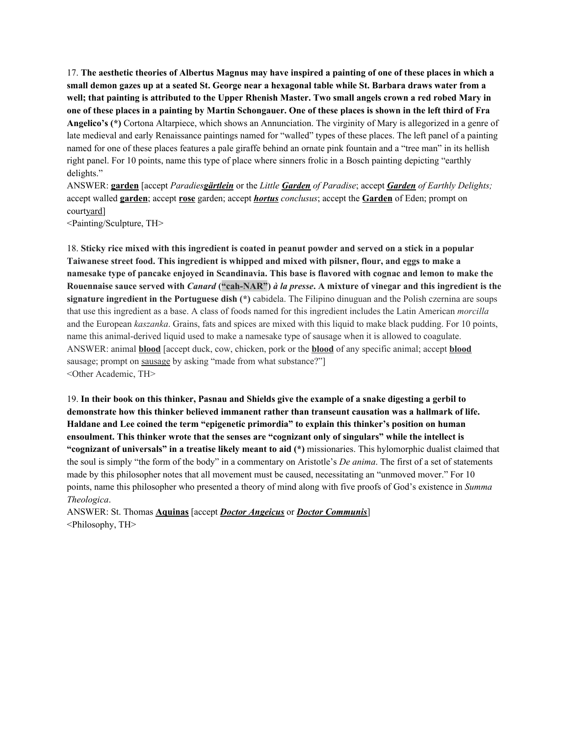17. The aesthetic theories of Albertus Magnus may have inspired a painting of one of these places in which a small demon gazes up at a seated St. George near a hexagonal table while St. Barbara draws water from a well; that painting is attributed to the Upper Rhenish Master. Two small angels crown a red robed Mary in one of these places in a painting by Martin Schongauer. One of these places is shown in the left third of Fra **Angelico's (\*)** Cortona Altarpiece, which shows an Annunciation. The virginity of Mary is allegorized in a genre of late medieval and early Renaissance paintings named for "walled" types of these places. The left panel of a painting named for one of these places features a pale giraffe behind an ornate pink fountain and a "tree man" in its hellish right panel. For 10 points, name this type of place where sinners frolic in a Bosch painting depicting "earthly delights."

ANSWER: **garden** [accept *Paradiesgärtlein* or the *Little Garden of Paradise*; accept *Garden of Earthly Delights;* accept walled **garden**; accept **rose** garden; accept *hortus conclusus*; accept the **Garden** of Eden; prompt on courtyard]

<Painting/Sculpture, TH>

18. Sticky rice mixed with this ingredient is coated in peanut powder and served on a stick in a popular **Taiwanese street food. This ingredient is whipped and mixed with pilsner, flour, and eggs to make a** namesake type of pancake enjoved in Scandinavia. This base is flavored with cognac and lemon to make the Rouennaise sauce served with Canard ("cah-NAR") à la presse. A mixture of vinegar and this ingredient is the **signature ingredient in the Portuguese dish (\*)** cabidela. The Filipino dinuguan and the Polish czernina are soups that use this ingredient as a base. A class of foods named for this ingredient includes the Latin American *morcilla* and the European *kaszanka*. Grains, fats and spices are mixed with this liquid to make black pudding. For 10 points, name this animal-derived liquid used to make a namesake type of sausage when it is allowed to coagulate. ANSWER: animal **blood** [accept duck, cow, chicken, pork or the **blood** of any specific animal; accept **blood** sausage; prompt on sausage by asking "made from what substance?" <Other Academic, TH>

19. In their book on this thinker, Pasnau and Shields give the example of a snake digesting a gerbil to **demonstrate how this thinker believed immanent rather than transeunt causation was a hallmark of life. Haldane and Lee coined the term "epigenetic primordia" to explain this thinker's position on human ensoulment. This thinker wrote that the senses are "cognizant only of singulars" while the intellect is "cognizant of universals" in a treatise likely meant to aid (\*)** missionaries. This hylomorphic dualist claimed that the soul is simply "the form of the body" in a commentary on Aristotle's *De anima*. The first of a set of statements made by this philosopher notes that all movement must be caused, necessitating an "unmoved mover." For 10 points, name this philosopher who presented a theory of mind along with five proofs of God's existence in *Summa Theologica*.

ANSWER: St. Thomas **Aquinas** [accept *Doctor Angeicus* or *Doctor Communis*] <Philosophy, TH>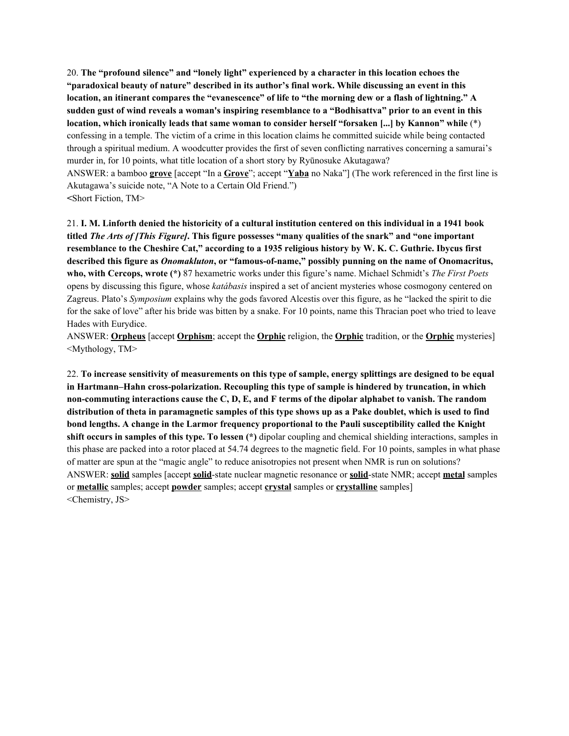20. **The "profound silence" and "lonely light" experienced by a character in this location echoes the "paradoxical beauty of nature" described in its author's final work. While discussing an event in this** location, an itinerant compares the "evanescence" of life to "the morning dew or a flash of lightning." A sudden gust of wind reveals a woman's inspiring resemblance to a "Bodhisattva" prior to an event in this **location, which ironically leads that same woman to consider herself "forsaken [...] by Kannon" while** (\*) confessing in a temple. The victim of a crime in this location claims he committed suicide while being contacted through a spiritual medium. A woodcutter provides the first of seven conflicting narratives concerning a samurai's murder in, for 10 points, what title location of a short story by Ryūnosuke Akutagawa? ANSWER: a bamboo **grove** [accept "In a **Grove**"; accept "**Yaba** no Naka"] (The work referenced in the first line is Akutagawa's suicide note, "A Note to a Certain Old Friend.") **<**Short Fiction, TM>

21. I. M. Linforth denied the historicity of a cultural institution centered on this individual in a 1941 book titled The Arts of [This Figure]. This figure possesses "many qualities of the snark" and "one important resemblance to the Cheshire Cat," according to a 1935 religious history by W. K. C. Guthrie. Ibycus first **described this figure as** *Onomakluton***, or "famous-of-name," possibly punning on the name of Onomacritus, who, with Cercops, wrote (\*)** 87 hexametric works under this figure's name. Michael Schmidt's *The First Poets* opens by discussing this figure, whose *katábasis* inspired a set of ancient mysteries whose cosmogony centered on Zagreus. Plato's *Symposium* explains why the gods favored Alcestis over this figure, as he "lacked the spirit to die for the sake of love" after his bride was bitten by a snake. For 10 points, name this Thracian poet who tried to leave Hades with Eurydice.

ANSWER: **Orpheus** [accept **Orphism**; accept the **Orphic** religion, the **Orphic** tradition, or the **Orphic** mysteries] <Mythology, TM>

22. To increase sensitivity of measurements on this type of sample, energy splittings are designed to be equal **in Hartmann–Hahn cross-polarization. Recoupling this type of sample is hindered by truncation, in which** non-commuting interactions cause the C, D, E, and F terms of the dipolar alphabet to vanish. The random distribution of theta in paramagnetic samples of this type shows up as a Pake doublet, which is used to find **bond lengths. A change in the Larmor frequency proportional to the Pauli susceptibility called the Knight shift occurs in samples of this type. To lessen (\*)** dipolar coupling and chemical shielding interactions, samples in this phase are packed into a rotor placed at 54.74 degrees to the magnetic field. For 10 points, samples in what phase of matter are spun at the "magic angle" to reduce anisotropies not present when NMR is run on solutions? ANSWER: **solid** samples [accept **solid**-state nuclear magnetic resonance or **solid**-state NMR; accept **metal** samples or **metallic** samples; accept **powder** samples; accept **crystal** samples or **crystalline** samples] <Chemistry, JS>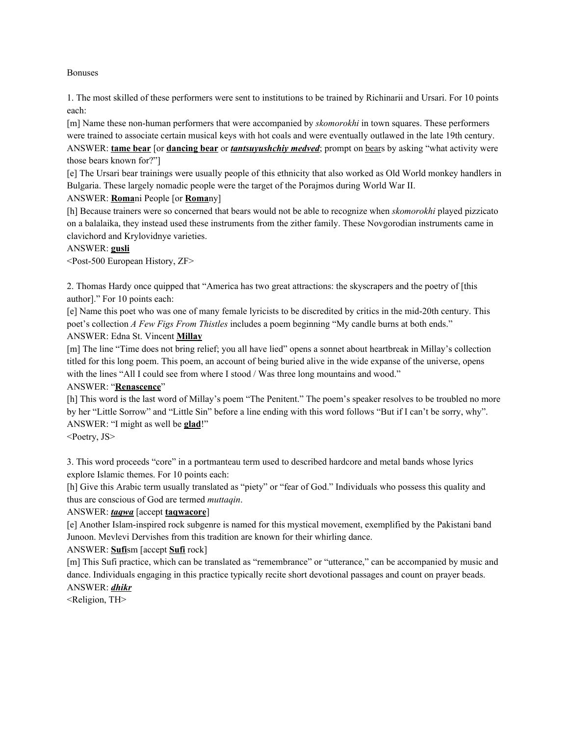Bonuses

1. The most skilled of these performers were sent to institutions to be trained by Richinarii and Ursari. For 10 points each:

[m] Name these non-human performers that were accompanied by *skomorokhi* in town squares. These performers were trained to associate certain musical keys with hot coals and were eventually outlawed in the late 19th century. ANSWER: **tame bear** [or **dancing bear** or *tantsuyushchiy medved*; prompt on bears by asking "what activity were those bears known for?"]

[e] The Ursari bear trainings were usually people of this ethnicity that also worked as Old World monkey handlers in Bulgaria. These largely nomadic people were the target of the Porajmos during World War II.

### ANSWER: **Roma**ni People [or **Roma**ny]

[h] Because trainers were so concerned that bears would not be able to recognize when *skomorokhi* played pizzicato on a balalaika, they instead used these instruments from the zither family. These Novgorodian instruments came in clavichord and Krylovidnye varieties.

### ANSWER: **gusli**

<Post-500 European History, ZF>

2. Thomas Hardy once quipped that "America has two great attractions: the skyscrapers and the poetry of [this author]." For 10 points each:

[e] Name this poet who was one of many female lyricists to be discredited by critics in the mid-20th century. This poet's collection *A Few Figs From Thistles* includes a poem beginning "My candle burns at both ends." ANSWER: Edna St. Vincent **Millay**

[m] The line "Time does not bring relief; you all have lied" opens a sonnet about heartbreak in Millay's collection titled for this long poem. This poem, an account of being buried alive in the wide expanse of the universe, opens with the lines "All I could see from where I stood / Was three long mountains and wood."

#### ANSWER: "**Renascence**"

[h] This word is the last word of Millay's poem "The Penitent." The poem's speaker resolves to be troubled no more by her "Little Sorrow" and "Little Sin" before a line ending with this word follows "But if I can't be sorry, why". ANSWER: "I might as well be **glad**!"

<Poetry, JS>

3. This word proceeds "core" in a portmanteau term used to described hardcore and metal bands whose lyrics explore Islamic themes. For 10 points each:

[h] Give this Arabic term usually translated as "piety" or "fear of God." Individuals who possess this quality and thus are conscious of God are termed *muttaqin*.

# ANSWER: *taqwa* [accept **taqwacore**]

[e] Another Islam-inspired rock subgenre is named for this mystical movement, exemplified by the Pakistani band Junoon. Mevlevi Dervishes from this tradition are known for their whirling dance.

# ANSWER: **Sufi**sm [accept **Sufi** rock]

[m] This Sufi practice, which can be translated as "remembrance" or "utterance," can be accompanied by music and dance. Individuals engaging in this practice typically recite short devotional passages and count on prayer beads. ANSWER: *dhikr*

<Religion, TH>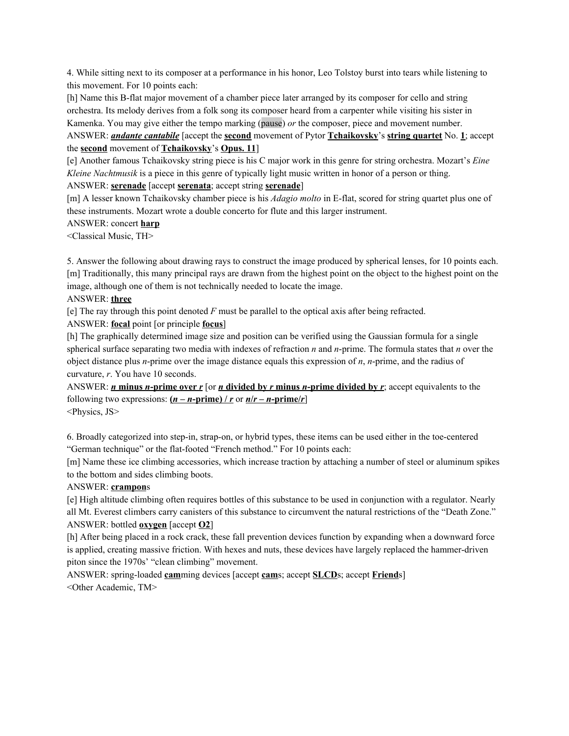4. While sitting next to its composer at a performance in his honor, Leo Tolstoy burst into tears while listening to this movement. For 10 points each:

[h] Name this B-flat major movement of a chamber piece later arranged by its composer for cello and string orchestra. Its melody derives from a folk song its composer heard from a carpenter while visiting his sister in Kamenka. You may give either the tempo marking (pause) *or* the composer, piece and movement number.

ANSWER: *andante cantabile* [accept the **second** movement of Pytor **Tchaikovsky**'s **string quartet** No. **1**; accept the **second** movement of **Tchaikovsky**'s **Opus. 11**]

[e] Another famous Tchaikovsky string piece is his C major work in this genre for string orchestra. Mozart's *Eine Kleine Nachtmusik* is a piece in this genre of typically light music written in honor of a person or thing.

ANSWER: **serenade** [accept **serenata**; accept string **serenade**]

[m] A lesser known Tchaikovsky chamber piece is his *Adagio molto* in E-flat, scored for string quartet plus one of these instruments. Mozart wrote a double concerto for flute and this larger instrument.

### ANSWER: concert **harp**

<Classical Music, TH>

5. Answer the following about drawing rays to construct the image produced by spherical lenses, for 10 points each. [m] Traditionally, this many principal rays are drawn from the highest point on the object to the highest point on the image, although one of them is not technically needed to locate the image.

# ANSWER: **three**

[e] The ray through this point denoted *F* must be parallel to the optical axis after being refracted.

ANSWER: **focal** point [or principle **focus**]

[h] The graphically determined image size and position can be verified using the Gaussian formula for a single spherical surface separating two media with indexes of refraction *n* and *n*-prime. The formula states that *n* over the object distance plus *n*-prime over the image distance equals this expression of *n*, *n*-prime, and the radius of curvature, *r*. You have 10 seconds.

ANSWER: *n* **minus** *n***-prime over** *r* [or *n* **divided by** *r* **minus** *n***-prime divided by** *r*; accept equivalents to the following two expressions:  $(n - n\text{-prime}) / r$  or  $n/r - n\text{-prime}/r$ <Physics, JS>

6. Broadly categorized into step-in, strap-on, or hybrid types, these items can be used either in the toe-centered "German technique" or the flat-footed "French method." For 10 points each:

[m] Name these ice climbing accessories, which increase traction by attaching a number of steel or aluminum spikes to the bottom and sides climbing boots.

# ANSWER: **crampon**s

[e] High altitude climbing often requires bottles of this substance to be used in conjunction with a regulator. Nearly all Mt. Everest climbers carry canisters of this substance to circumvent the natural restrictions of the "Death Zone." ANSWER: bottled **oxygen** [accept **O2**]

[h] After being placed in a rock crack, these fall prevention devices function by expanding when a downward force is applied, creating massive friction. With hexes and nuts, these devices have largely replaced the hammer-driven piton since the 1970s' "clean climbing" movement.

ANSWER: spring-loaded **cam**ming devices [accept **cam**s; accept **SLCD**s; accept **Friend**s] <Other Academic, TM>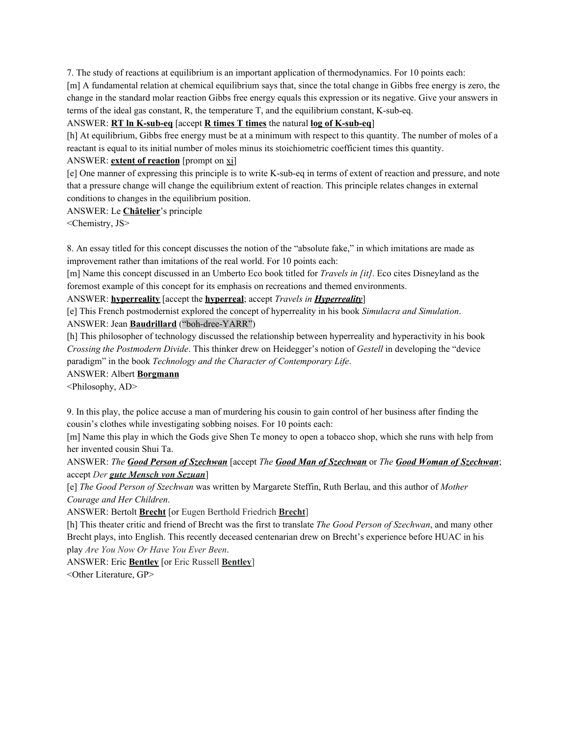7. The study of reactions at equilibrium is an important application of thermodynamics. For 10 points each:

[m] A fundamental relation at chemical equilibrium says that, since the total change in Gibbs free energy is zero, the change in the standard molar reaction Gibbs free energy equals this expression or its negative. Give your answers in terms of the ideal gas constant, R, the temperature T, and the equilibrium constant, K-sub-eq.

#### ANSWER: **RT ln K-sub-eq** [accept **R times T times** the natural **log of K-sub-eq**]

[h] At equilibrium, Gibbs free energy must be at a minimum with respect to this quantity. The number of moles of a reactant is equal to its initial number of moles minus its stoichiometric coefficient times this quantity.

### ANSWER: **extent of reaction** [prompt on xi]

[e] One manner of expressing this principle is to write K-sub-eq in terms of extent of reaction and pressure, and note that a pressure change will change the equilibrium extent of reaction. This principle relates changes in external conditions to changes in the equilibrium position.

ANSWER: Le **Châtelier**'s principle

<Chemistry, JS>

8. An essay titled for this concept discusses the notion of the "absolute fake," in which imitations are made as improvement rather than imitations of the real world. For 10 points each:

[m] Name this concept discussed in an Umberto Eco book titled for *Travels in [it]*. Eco cites Disneyland as the foremost example of this concept for its emphasis on recreations and themed environments.

ANSWER: **hyperreality** [accept the **hyperreal**; accept *Travels in Hyperreality*]

[e] This French postmodernist explored the concept of hyperreality in his book *Simulacra and Simulation*. ANSWER: Jean **Baudrillard** ("boh-dree-YARR")

[h] This philosopher of technology discussed the relationship between hyperreality and hyperactivity in his book *Crossing the Postmodern Divide*. This thinker drew on Heidegger's notion of *Gestell* in developing the "device paradigm" in the book *Technology and the Character of Contemporary Life*.

#### ANSWER: Albert **Borgmann**

<Philosophy, AD>

9. In this play, the police accuse a man of murdering his cousin to gain control of her business after finding the cousin's clothes while investigating sobbing noises. For 10 points each:

[m] Name this play in which the Gods give Shen Te money to open a tobacco shop, which she runs with help from her invented cousin Shui Ta.

ANSWER: *The Good Person of Szechwan* [accept *The Good Man of Szechwan* or *The Good Woman of Szechwan*; accept *Der gute Mensch von Sezuan*]

[e] *The Good Person of Szechwan* was written by Margarete Steffin, Ruth Berlau, and this author of *Mother Courage and Her Children*.

ANSWER: Bertolt **Brecht** [or Eugen Berthold Friedrich **Brecht**]

[h] This theater critic and friend of Brecht was the first to translate *The Good Person of Szechwan*, and many other Brecht plays, into English. This recently deceased centenarian drew on Brecht's experience before HUAC in his play *Are You Now Or Have You Ever Been*.

ANSWER: Eric **Bentley** [or Eric Russell **Bentley**] <Other Literature, GP>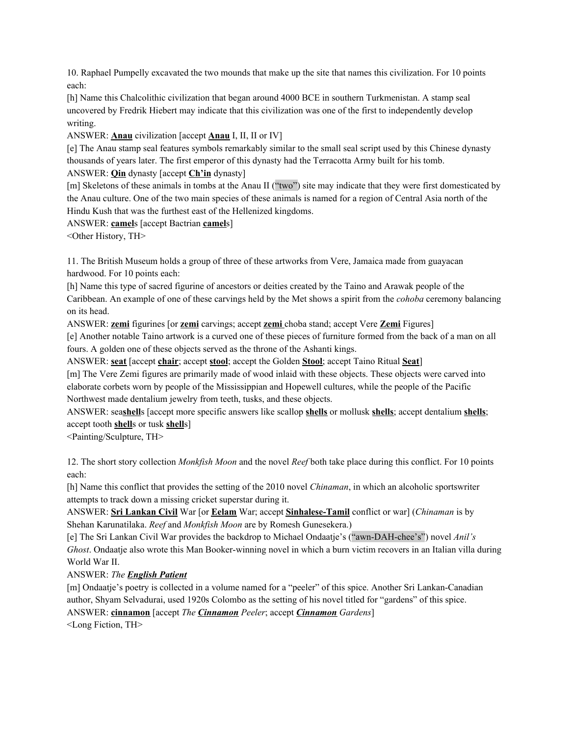10. Raphael Pumpelly excavated the two mounds that make up the site that names this civilization. For 10 points each:

[h] Name this Chalcolithic civilization that began around 4000 BCE in southern Turkmenistan. A stamp seal uncovered by Fredrik Hiebert may indicate that this civilization was one of the first to independently develop writing.

ANSWER: **Anau** civilization [accept **Anau** I, II, II or IV]

[e] The Anau stamp seal features symbols remarkably similar to the small seal script used by this Chinese dynasty thousands of years later. The first emperor of this dynasty had the Terracotta Army built for his tomb.

ANSWER: **Qin** dynasty [accept **Ch'in** dynasty]

[m] Skeletons of these animals in tombs at the Anau II ("two") site may indicate that they were first domesticated by the Anau culture. One of the two main species of these animals is named for a region of Central Asia north of the Hindu Kush that was the furthest east of the Hellenized kingdoms.

ANSWER: **camel**s [accept Bactrian **camel**s]

<Other History, TH>

11. The British Museum holds a group of three of these artworks from Vere, Jamaica made from guayacan hardwood. For 10 points each:

[h] Name this type of sacred figurine of ancestors or deities created by the Taino and Arawak people of the Caribbean. An example of one of these carvings held by the Met shows a spirit from the *cohoba* ceremony balancing on its head.

ANSWER: **zemi** figurines [or **zemi** carvings; accept **zemi** choba stand; accept Vere **Zemi** Figures]

[e] Another notable Taino artwork is a curved one of these pieces of furniture formed from the back of a man on all fours. A golden one of these objects served as the throne of the Ashanti kings.

ANSWER: **seat** [accept **chair**; accept **stool**; accept the Golden **Stool**; accept Taino Ritual **Seat**]

[m] The Vere Zemi figures are primarily made of wood inlaid with these objects. These objects were carved into elaborate corbets worn by people of the Mississippian and Hopewell cultures, while the people of the Pacific Northwest made dentalium jewelry from teeth, tusks, and these objects.

ANSWER: sea**shell**s [accept more specific answers like scallop **shells** or mollusk **shells**; accept dentalium **shells**; accept tooth **shell**s or tusk **shell**s]

<Painting/Sculpture, TH>

12. The short story collection *Monkfish Moon* and the novel *Reef* both take place during this conflict. For 10 points each:

[h] Name this conflict that provides the setting of the 2010 novel *Chinaman*, in which an alcoholic sportswriter attempts to track down a missing cricket superstar during it.

ANSWER: **Sri Lankan Civil** War [or **Eelam** War; accept **Sinhalese-Tamil** conflict or war] (*Chinaman* is by Shehan Karunatilaka. *Reef* and *Monkfish Moon* are by Romesh Gunesekera.)

[e] The Sri Lankan Civil War provides the backdrop to Michael Ondaatje's ("awn-DAH-chee's") novel *Anil's Ghost*. Ondaatje also wrote this Man Booker-winning novel in which a burn victim recovers in an Italian villa during World War II.

# ANSWER: *The English Patient*

[m] Ondaatje's poetry is collected in a volume named for a "peeler" of this spice. Another Sri Lankan-Canadian author, Shyam Selvadurai, used 1920s Colombo as the setting of his novel titled for "gardens" of this spice. ANSWER: **cinnamon** [accept *The Cinnamon Peeler*; accept *Cinnamon Gardens*]

<Long Fiction, TH>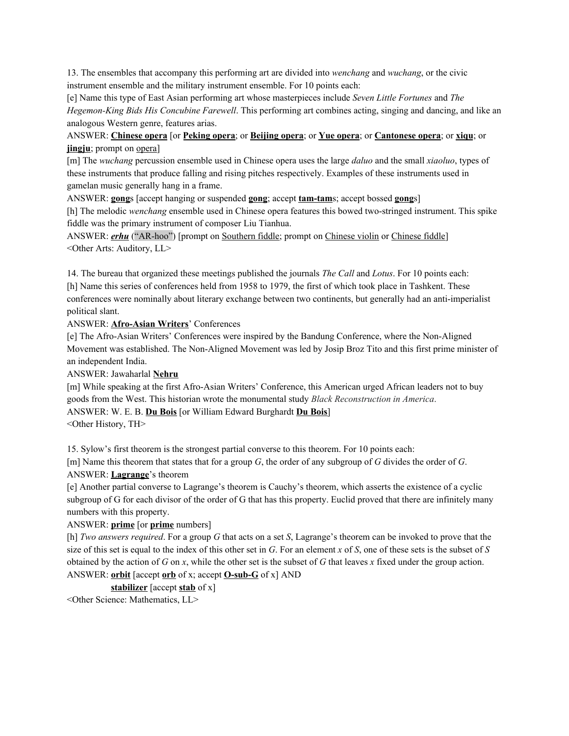13. The ensembles that accompany this performing art are divided into *wenchang* and *wuchang*, or the civic instrument ensemble and the military instrument ensemble. For 10 points each:

[e] Name this type of East Asian performing art whose masterpieces include *Seven Little Fortunes* and *The Hegemon-King Bids His Concubine Farewell*. This performing art combines acting, singing and dancing, and like an analogous Western genre, features arias.

# ANSWER: **Chinese opera** [or **Peking opera**; or **Beijing opera**; or **Yue opera**; or **Cantonese opera**; or **xiqu**; or **jingju**; prompt on <u>opera</u>]

[m] The *wuchang* percussion ensemble used in Chinese opera uses the large *daluo* and the small *xiaoluo*, types of these instruments that produce falling and rising pitches respectively. Examples of these instruments used in gamelan music generally hang in a frame.

ANSWER: **gong**s [accept hanging or suspended **gong**; accept **tam-tam**s; accept bossed **gong**s]

[h] The melodic *wenchang* ensemble used in Chinese opera features this bowed two-stringed instrument. This spike fiddle was the primary instrument of composer Liu Tianhua.

ANSWER: *erhu* ("AR-hoo") [prompt on Southern fiddle; prompt on Chinese violin or Chinese fiddle] <Other Arts: Auditory, LL>

14. The bureau that organized these meetings published the journals *The Call* and *Lotus*. For 10 points each: [h] Name this series of conferences held from 1958 to 1979, the first of which took place in Tashkent. These conferences were nominally about literary exchange between two continents, but generally had an anti-imperialist

political slant. ANSWER: **Afro-Asian Writers**' Conferences

[e] The Afro-Asian Writers' Conferences were inspired by the Bandung Conference, where the Non-Aligned Movement was established. The Non-Aligned Movement was led by Josip Broz Tito and this first prime minister of an independent India.

ANSWER: Jawaharlal **Nehru**

[m] While speaking at the first Afro-Asian Writers' Conference, this American urged African leaders not to buy goods from the West. This historian wrote the monumental study *Black Reconstruction in America*.

ANSWER: W. E. B. **Du Bois** [or William Edward Burghardt **Du Bois**]

<Other History, TH>

15. Sylow's first theorem is the strongest partial converse to this theorem. For 10 points each:

[m] Name this theorem that states that for a group *G*, the order of any subgroup of *G* divides the order of *G*. ANSWER: **Lagrange**'s theorem

[e] Another partial converse to Lagrange's theorem is Cauchy's theorem, which asserts the existence of a cyclic subgroup of G for each divisor of the order of G that has this property. Euclid proved that there are infinitely many numbers with this property.

# ANSWER: **prime** [or **prime** numbers]

[h] *Two answers required*. For a group *G* that acts on a set *S*, Lagrange's theorem can be invoked to prove that the size of this set is equal to the index of this other set in *G*. For an element *x* of *S*, one of these sets is the subset of *S* obtained by the action of *G* on *x*, while the other set is the subset of *G* that leaves *x* fixed under the group action. ANSWER: **orbit** [accept **orb** of x; accept **O-sub-G** of x] AND

# **stabilizer** [accept **stab** of x]

<Other Science: Mathematics, LL>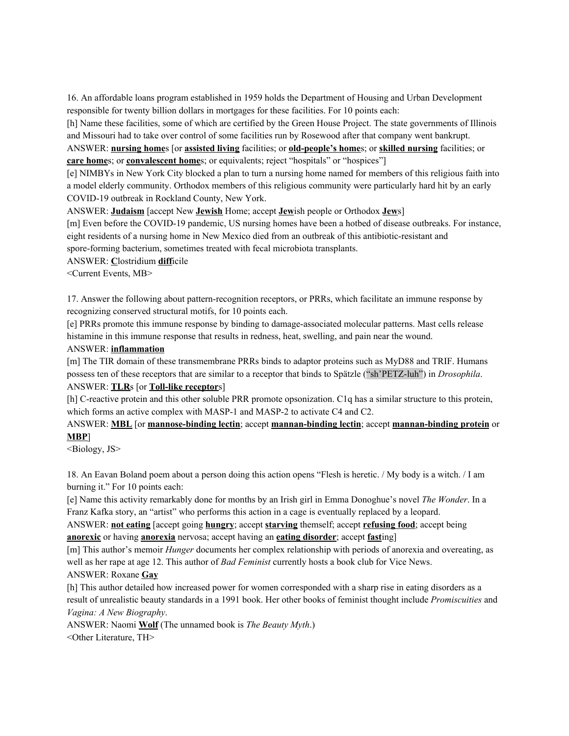16. An affordable loans program established in 1959 holds the Department of Housing and Urban Development responsible for twenty billion dollars in mortgages for these facilities. For 10 points each:

[h] Name these facilities, some of which are certified by the Green House Project. The state governments of Illinois and Missouri had to take over control of some facilities run by Rosewood after that company went bankrupt.

ANSWER: **nursing home**s [or **assisted living** facilities; or **old-people's home**s; or **skilled nursing** facilities; or **care home**s; or **convalescent home**s; or equivalents; reject "hospitals" or "hospices"]

[e] NIMBYs in New York City blocked a plan to turn a nursing home named for members of this religious faith into a model elderly community. Orthodox members of this religious community were particularly hard hit by an early COVID-19 outbreak in Rockland County, New York.

ANSWER: **Judaism** [accept New **Jewish** Home; accept **Jew**ish people or Orthodox **Jew**s]

[m] Even before the COVID-19 pandemic, US nursing homes have been a hotbed of disease outbreaks. For instance, eight residents of a nursing home in New Mexico died from an outbreak of this antibiotic-resistant and spore-forming bacterium, sometimes treated with fecal microbiota transplants.

ANSWER: **C**lostridium **diff**icile

<Current Events, MB>

17. Answer the following about pattern-recognition receptors, or PRRs, which facilitate an immune response by recognizing conserved structural motifs, for 10 points each.

[e] PRRs promote this immune response by binding to damage-associated molecular patterns. Mast cells release histamine in this immune response that results in redness, heat, swelling, and pain near the wound.

#### ANSWER: **inflammation**

[m] The TIR domain of these transmembrane PRRs binds to adaptor proteins such as MyD88 and TRIF. Humans possess ten of these receptors that are similar to a receptor that binds to Spätzle ("sh'PETZ-luh") in *Drosophila*.

# ANSWER: **TLR**s [or **Toll-like receptor**s]

[h] C-reactive protein and this other soluble PRR promote opsonization. C1q has a similar structure to this protein, which forms an active complex with MASP-1 and MASP-2 to activate C4 and C2.

# ANSWER: **MBL** [or **mannose-binding lectin**; accept **mannan-binding lectin**; accept **mannan-binding protein** or **MBP**]

<Biology, JS>

18. An Eavan Boland poem about a person doing this action opens "Flesh is heretic. / My body is a witch. / I am burning it." For 10 points each:

[e] Name this activity remarkably done for months by an Irish girl in Emma Donoghue's novel *The Wonder*. In a Franz Kafka story, an "artist" who performs this action in a cage is eventually replaced by a leopard.

ANSWER: **not eating** [accept going **hungry**; accept **starving** themself; accept **refusing food**; accept being **anorexic** or having **anorexia** nervosa; accept having an **eating disorder**; accept **fast**ing]

[m] This author's memoir *Hunger* documents her complex relationship with periods of anorexia and overeating, as well as her rape at age 12. This author of *Bad Feminist* currently hosts a book club for Vice News.

#### ANSWER: Roxane **Gay**

[h] This author detailed how increased power for women corresponded with a sharp rise in eating disorders as a result of unrealistic beauty standards in a 1991 book. Her other books of feminist thought include *Promiscuities* and *Vagina: A New Biography*.

ANSWER: Naomi **Wolf** (The unnamed book is *The Beauty Myth*.)

<Other Literature, TH>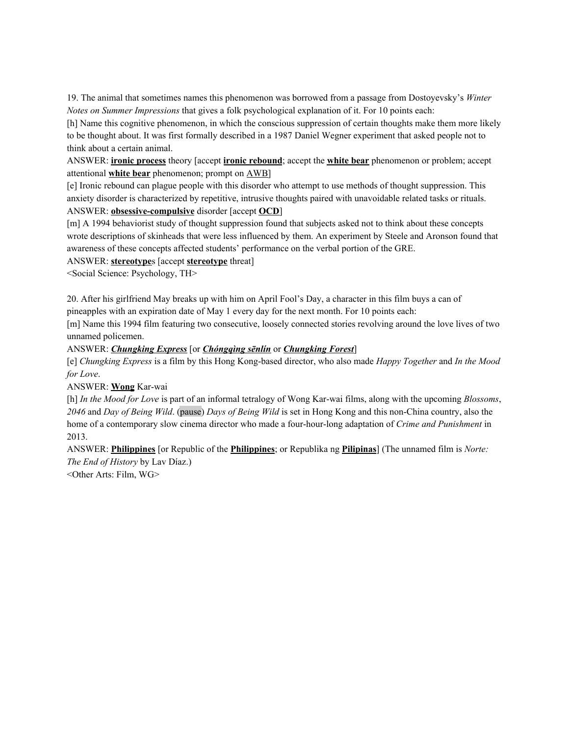19. The animal that sometimes names this phenomenon was borrowed from a passage from Dostoyevsky's *Winter Notes on Summer Impressions* that gives a folk psychological explanation of it. For 10 points each:

[h] Name this cognitive phenomenon, in which the conscious suppression of certain thoughts make them more likely to be thought about. It was first formally described in a 1987 Daniel Wegner experiment that asked people not to think about a certain animal.

ANSWER: **ironic process** theory [accept **ironic rebound**; accept the **white bear** phenomenon or problem; accept attentional **white bear** phenomenon; prompt on AWB]

[e] Ironic rebound can plague people with this disorder who attempt to use methods of thought suppression. This anxiety disorder is characterized by repetitive, intrusive thoughts paired with unavoidable related tasks or rituals. ANSWER: **obsessive-compulsive** disorder [accept **OCD**]

[m] A 1994 behaviorist study of thought suppression found that subjects asked not to think about these concepts wrote descriptions of skinheads that were less influenced by them. An experiment by Steele and Aronson found that awareness of these concepts affected students' performance on the verbal portion of the GRE.

ANSWER: **stereotype**s [accept **stereotype** threat]

<Social Science: Psychology, TH>

20. After his girlfriend May breaks up with him on April Fool's Day, a character in this film buys a can of pineapples with an expiration date of May 1 every day for the next month. For 10 points each:

[m] Name this 1994 film featuring two consecutive, loosely connected stories revolving around the love lives of two unnamed policemen.

#### ANSWER: *Chungking Express* [or *Chóngqìng sēnlín* or *Chungking Forest*]

[e] *Chungking Express* is a film by this Hong Kong-based director, who also made *Happy Together* and *In the Mood for Love*.

ANSWER: **Wong** Kar-wai

[h] *In the Mood for Love* is part of an informal tetralogy of Wong Kar-wai films, along with the upcoming *Blossoms*, *2046* and *Day of Being Wild*. (pause) *Days of Being Wild* is set in Hong Kong and this non-China country, also the home of a contemporary slow cinema director who made a four-hour-long adaptation of *Crime and Punishment* in 2013.

ANSWER: **Philippines** [or Republic of the **Philippines**; or Republika ng **Pilipinas**] (The unnamed film is *Norte: The End of History* by Lav Díaz.)

<Other Arts: Film, WG>